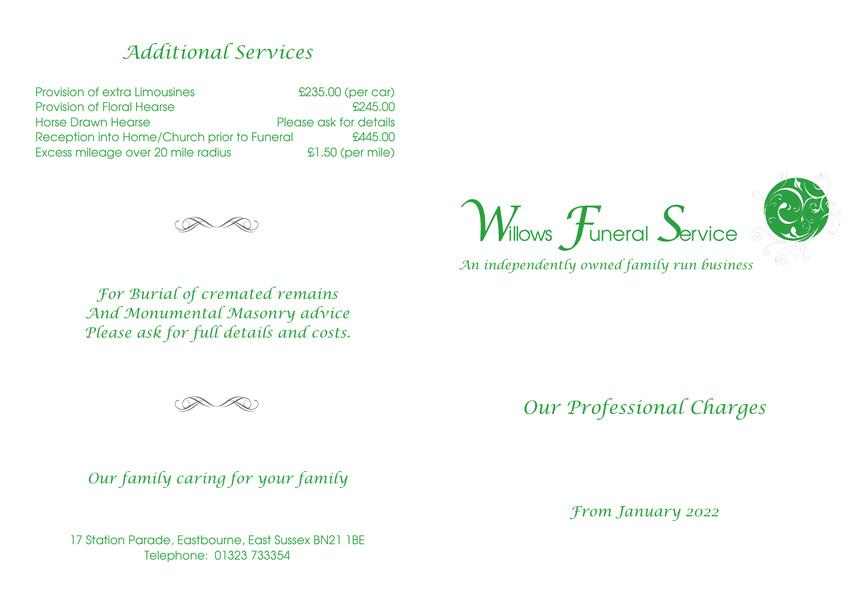## *Additional Services*

Provision of extra Limousines **£235.00 (per car)** Provision of Floral Hearse **Example 2014** 5:00 Horse Drawn Hearse Please ask for details Reception into Home/Church prior to Funeral  $$445.00$ Excess mileage over 20 mile radius **ELL** 50 (per mile)







*An independently owned family run business*

*For Burial of cremated remains And Monumental Masonry advice Please ask for full details and costs.*



*Our Professional Charges*

*Our family caring for your family*

17 Station Parade, Eastbourne, East Sussex BN21 1BE Telephone: 01323 733354

*From January 2022*